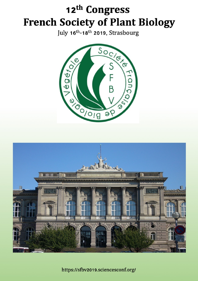# 12th Congress **French Society of Plant Biology**

July 16<sup>th</sup>-18<sup>th</sup> 2019, Strasbourg





https://sfbv2019.sciencesconf.org/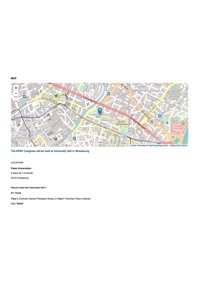**MAP** 



The SFBV Congress will be held at University Hall in Strasbourg

#### **LOCATION**

#### **Palais Universitaire**

9 place de l' Université 67000 Strasbourg.

How to reach the University Hall ?

#### **BY TRAM**

Tram C (Direction Neuhorf Rodolphe Reuss) or Tram F (Direction Place d'Islande) Stop "Gallia"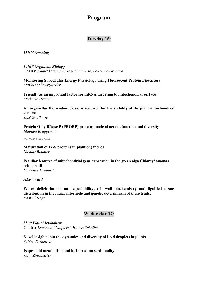## **Program**

## Tuesday 16th

*13h45 Opening*

*14h15 Organelle Biology* **Chairs:** *Kamel Hammani, José Gualberto, Laurence Drouard*

**Monitoring Subcellular Energy Physiology using Fluorescent Protein Biosensors** *Markus Schawrzländer*

**Friendly as an important factor for mRNA targeting to mitochondrial surface** *Mickaele Hemono*

**An organellar flap-endonuclease is required for the stability of the plant mitochondrial genome** *José Gualberto*

**Protein Only RNase P (PRORP) proteins mode of action, function and diversity** *Mathieu Bruggeman*

*16h-16h30 Coffee break*

**Maturation of Fe-S proteins in plant organelles** *Nicolas Rouhier*

**Peculiar features of mitochondrial gene expression in the green alga Chlamydomonas reinhardtii** *Laurence Drouard*

*AAF award*

**Water deficit impact on degradability, cell wall biochemistry and lignified tissue distribution in the maize internode and genetic determinism of these traits.** *Fadi El Hage*

### Wednesday 17<sup>th</sup>

*8h30 Plant Metabolism* **Chairs:** *Emmanuel Gaquerel, Hubert Schaller*

**Novel insights into the dynamics and diversity of lipid droplets in plants** *Sabine D'Andrea*

**Isoprenoid metabolism and its impact on seed quality** *Julia Zinsmeister*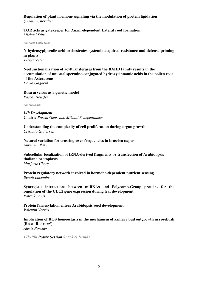#### **Regulation of plant hormone signaling via the modulation of protein lipidation** *Quentin Chevalier*

#### **TOR acts as gatekeeper for Auxin-dependent Lateral root formation** *Michael Stitz*

*10h-10h30 Coffee break*

#### **N-hydroxypipecolic acid orchestrates systemic acquired resistance and defense priming in plants** *Jürgen Zeier*

**Neofunctionalization of acyltransferases from the BAHD family results in the accumulation of unusual spermine-conjugated hydroxycinnamic acids in the pollen coat of the Asteraceae** *David Gagneul*

**Rosa arvensis as a genetic model** *Pascal Heitzler*

*12h-14h Lunch*

*14h Development* **Chairs:** *Pascal Genschik, Mikhail Schepetilnikov*

**Understanding the complexity of cell proliferation during organ growth** *Crisanto Gutierrez*

**Natural variation for crossing-over frequencies in brassica napus** *Aurélien Blary*

**Subcellular localization of tRNA-derived fragments by transfection of Arabidopsis thaliana protoplasts** *Marjorie Chery*

**Protein regulatory network involved in hormone-dependent nutrient sensing** *Benoit Lacombe*

**Synergistic interactions between miRNAs and Polycomb-Group proteins for the regulation of the CUC2 gene expression during leaf development** *Patrick Laufs*

**Protein farnesylation enters Arabidopsis seed development** *Valentin Vergès*

**Implication of ROS homeostasis in the mechanism of axillary bud outgrowth in rosebush (Rosa 'Radrazz')** *Alexis Porcher*

*17h-19h Poster Session Snack & Drinks*